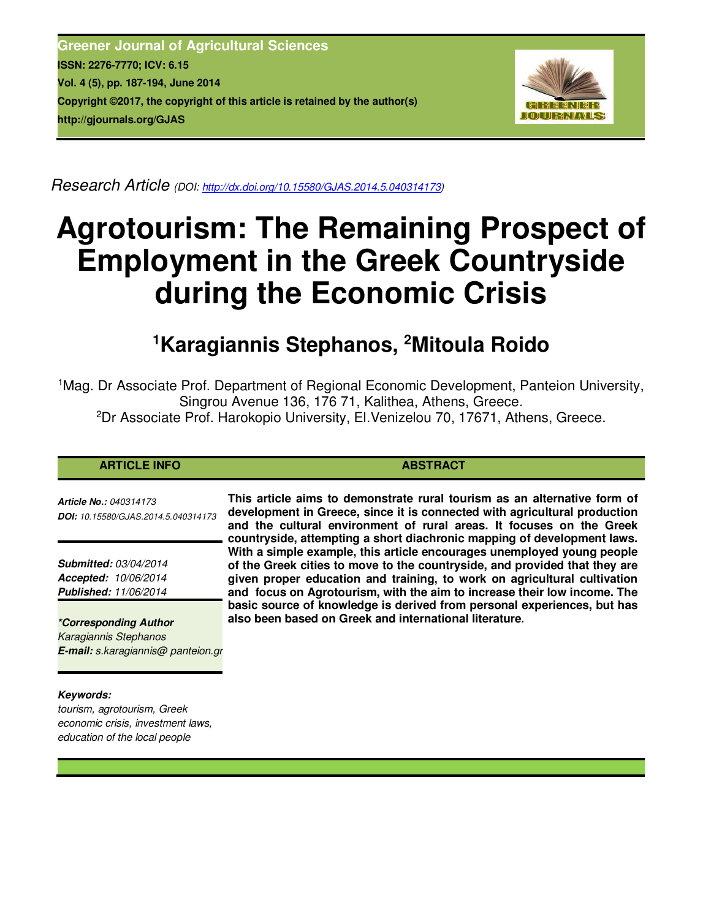**Greener Journal of Agricultural Sciences ISSN: 2276-7770; ICV: 6.15 Vol. 4 (5), pp. 187-194, June 2014 Copyright ©2017, the copyright of this article is retained by the author(s) http://gjournals.org/GJAS**



*Research Article (DOI: http://dx.doi.org/10.15580/GJAS.2014.5.040314173)* 

# **Agrotourism: The Remaining Prospect of Employment in the Greek Countryside during the Economic Crisis**

## **<sup>1</sup>Karagiannis Stephanos, <sup>2</sup>Mitoula Roido**

<sup>1</sup>Mag. Dr Associate Prof. Department of Regional Economic Development, Panteion University, Singrou Avenue 136, 176 71, Kalithea, Athens, Greece. <sup>2</sup>Dr Associate Prof. Harokopio University, El.Venizelou 70, 17671, Athens, Greece.

### **ARTICLE INFO ABSTRACT ABSTRACT**

*Article No.: 040314173 DOI: 10.15580/GJAS.2014.5.040314173*

*Submitted: 03/04/2014 Accepted: 10/06/2014 Published: 11/06/2014*

*\*Corresponding Author Karagiannis Stephanos E-mail: s.karagiannis@ panteion.gr*

#### *Keywords:*

*tourism, agrotourism, Greek economic crisis, investment laws, education of the local people*

**This article aims to demonstrate rural tourism as an alternative form of development in Greece, since it is connected with agricultural production and the cultural environment of rural areas. It focuses on the Greek countryside, attempting a short diachronic mapping of development laws. With a simple example, this article encourages unemployed young people of the Greek cities to move to the countryside, and provided that they are given proper education and training, to work on agricultural cultivation and focus on Agrotourism, with the aim to increase their low income. The basic source of knowledge is derived from personal experiences, but has also been based on Greek and international literature.**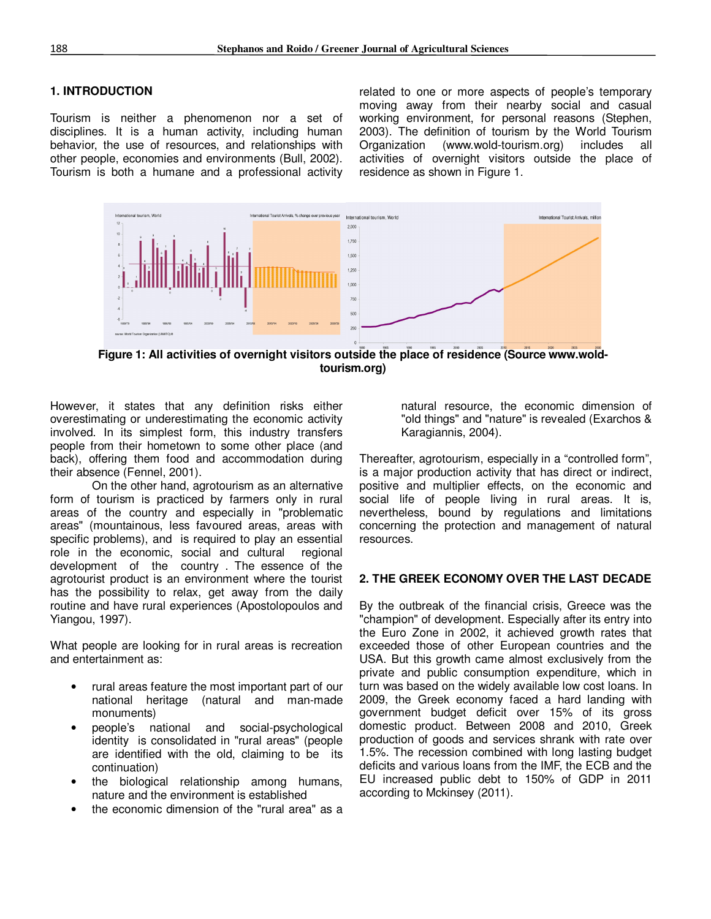#### **1. INTRODUCTION**

Tourism is neither a phenomenon nor a set of disciplines. It is a human activity, including human behavior, the use of resources, and relationships with other people, economies and environments (Bull, 2002). Tourism is both a humane and a professional activity related to one or more aspects of people's temporary moving away from their nearby social and casual working environment, for personal reasons (Stephen, 2003). The definition of tourism by the World Tourism Organization (www.wold-tourism.org) includes all activities of overnight visitors outside the place of residence as shown in Figure 1.



**Figure 1: All activities of overnight visitors outside the place of residence (Source www.woldtourism.org)** 

However, it states that any definition risks either overestimating or underestimating the economic activity involved. In its simplest form, this industry transfers people from their hometown to some other place (and back), offering them food and accommodation during their absence (Fennel, 2001).

On the other hand, agrotourism as an alternative form of tourism is practiced by farmers only in rural areas of the country and especially in "problematic areas" (mountainous, less favoured areas, areas with specific problems), and is required to play an essential role in the economic, social and cultural regional development of the country . The essence of the agrotourist product is an environment where the tourist has the possibility to relax, get away from the daily routine and have rural experiences (Apostolopoulos and Yiangou, 1997).

What people are looking for in rural areas is recreation and entertainment as:

- rural areas feature the most important part of our national heritage (natural and man-made monuments)
- people's national and social-psychological identity is consolidated in "rural areas" (people are identified with the old, claiming to be its continuation)
- the biological relationship among humans, nature and the environment is established
- the economic dimension of the "rural area" as a

natural resource, the economic dimension of "old things" and "nature" is revealed (Exarchos & Karagiannis, 2004).

Thereafter, agrotourism, especially in a "controlled form", is a major production activity that has direct or indirect, positive and multiplier effects, on the economic and social life of people living in rural areas. It is, nevertheless, bound by regulations and limitations concerning the protection and management of natural resources.

#### **2. THE GREEK ECONOMY OVER THE LAST DECADE**

By the outbreak of the financial crisis, Greece was the "champion" of development. Especially after its entry into the Euro Zone in 2002, it achieved growth rates that exceeded those of other European countries and the USA. But this growth came almost exclusively from the private and public consumption expenditure, which in turn was based on the widely available low cost loans. In 2009, the Greek economy faced a hard landing with government budget deficit over 15% of its gross domestic product. Between 2008 and 2010, Greek production of goods and services shrank with rate over 1.5%. The recession combined with long lasting budget deficits and various loans from the IMF, the ECB and the EU increased public debt to 150% of GDP in 2011 according to Mckinsey (2011).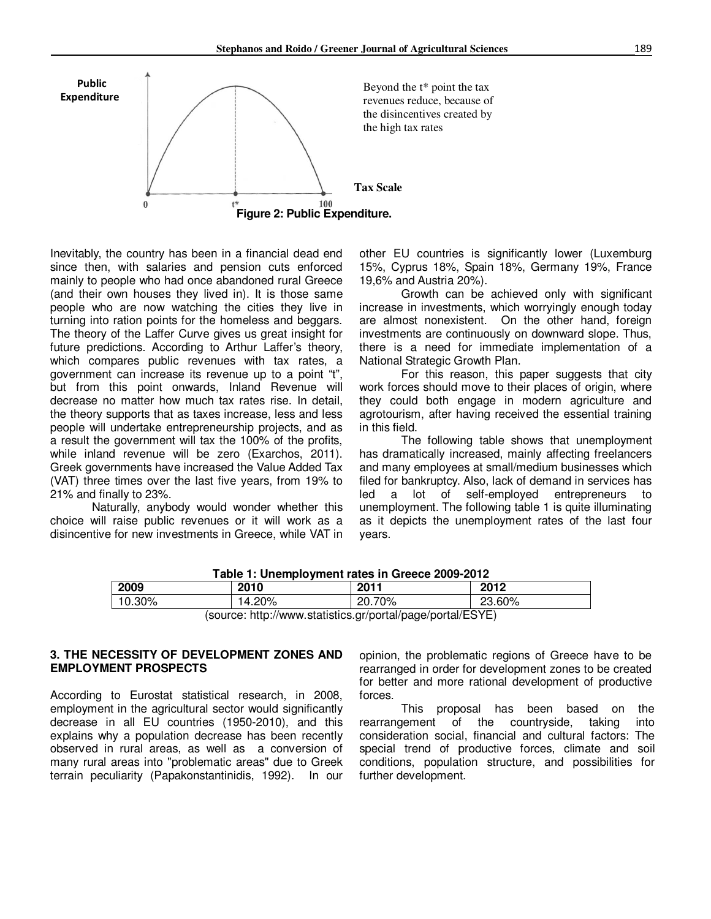

Inevitably, the country has been in a financial dead end since then, with salaries and pension cuts enforced mainly to people who had once abandoned rural Greece (and their own houses they lived in). It is those same people who are now watching the cities they live in turning into ration points for the homeless and beggars. The theory of the Laffer Curve gives us great insight for future predictions. According to Arthur Laffer's theory, which compares public revenues with tax rates, a government can increase its revenue up to a point "t", but from this point onwards, Inland Revenue will decrease no matter how much tax rates rise. In detail, the theory supports that as taxes increase, less and less people will undertake entrepreneurship projects, and as a result the government will tax the 100% of the profits, while inland revenue will be zero (Exarchos, 2011). Greek governments have increased the Value Added Tax (VAT) three times over the last five years, from 19% to 21% and finally to 23%.

Naturally, anybody would wonder whether this choice will raise public revenues or it will work as a disincentive for new investments in Greece, while VAT in

other EU countries is significantly lower (Luxemburg 15%, Cyprus 18%, Spain 18%, Germany 19%, France 19,6% and Austria 20%).

Growth can be achieved only with significant increase in investments, which worryingly enough today are almost nonexistent. On the other hand, foreign investments are continuously on downward slope. Thus, there is a need for immediate implementation of a National Strategic Growth Plan.

For this reason, this paper suggests that city work forces should move to their places of origin, where they could both engage in modern agriculture and agrotourism, after having received the essential training in this field.

The following table shows that unemployment has dramatically increased, mainly affecting freelancers and many employees at small/medium businesses which filed for bankruptcy. Also, lack of demand in services has led a lot of self-employed entrepreneurs to unemployment. The following table 1 is quite illuminating as it depicts the unemployment rates of the last four years.

| <u>I avic T. Offerhologitient rates in Greece 2009-2012</u> |        |        |        |  |  |  |  |
|-------------------------------------------------------------|--------|--------|--------|--|--|--|--|
| 2009                                                        | 2010   | 2011   | 2012   |  |  |  |  |
| 10.30%                                                      | 14.20% | 20.70% | 23.60% |  |  |  |  |
| (source: http://www.statistics.or/portal/page/portal/ESVE)  |        |        |        |  |  |  |  |

**Table 1: Unemployment rates in Greece 2009-2012** 

(source: http://www.statistics.gr/portal/page/portal/ESYE)

#### **3. THE NECESSITY OF DEVELOPMENT ZONES AND EMPLOYMENT PROSPECTS**

According to Eurostat statistical research, in 2008, employment in the agricultural sector would significantly decrease in all EU countries (1950-2010), and this explains why a population decrease has been recently observed in rural areas, as well as a conversion of many rural areas into "problematic areas" due to Greek terrain peculiarity (Papakonstantinidis, 1992). In our

opinion, the problematic regions of Greece have to be rearranged in order for development zones to be created for better and more rational development of productive forces.

This proposal has been based on the rearrangement of the countryside, taking into consideration social, financial and cultural factors: The special trend of productive forces, climate and soil conditions, population structure, and possibilities for further development.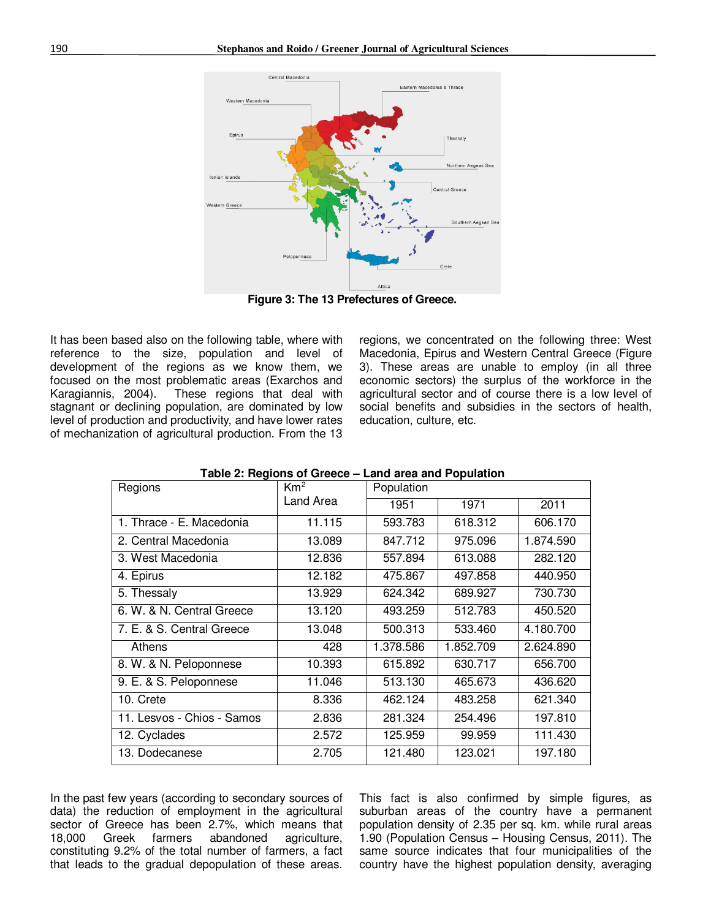

**Figure 3: The 13 Prefectures of Greece.** 

It has been based also on the following table, where with reference to the size, population and level of development of the regions as we know them, we focused on the most problematic areas (Exarchos and Karagiannis, 2004). These regions that deal with stagnant or declining population, are dominated by low level of production and productivity, and have lower rates of mechanization of agricultural production. From the 13

regions, we concentrated on the following three: West Macedonia, Epirus and Western Central Greece (Figure 3). These areas are unable to employ (in all three economic sectors) the surplus of the workforce in the agricultural sector and of course there is a low level of social benefits and subsidies in the sectors of health, education, culture, etc.

| rabic 2. Hogions of Grocco – Lang area and Fopulation |                              |            |           |           |  |  |  |  |
|-------------------------------------------------------|------------------------------|------------|-----------|-----------|--|--|--|--|
| Regions                                               | Km <sup>2</sup><br>Land Area | Population |           |           |  |  |  |  |
|                                                       |                              | 1951       | 1971      | 2011      |  |  |  |  |
| 1. Thrace - E. Macedonia                              | 11.115                       | 593.783    | 618.312   | 606.170   |  |  |  |  |
| 2. Central Macedonia                                  | 13.089                       | 847.712    | 975.096   | 1.874.590 |  |  |  |  |
| 3. West Macedonia                                     | 12.836                       | 557.894    | 613.088   | 282.120   |  |  |  |  |
| 4. Epirus                                             | 12.182                       | 475.867    | 497.858   | 440.950   |  |  |  |  |
| 5. Thessaly                                           | 13.929                       | 624.342    | 689.927   | 730.730   |  |  |  |  |
| 6. W. & N. Central Greece                             | 13.120                       | 493.259    | 512.783   | 450.520   |  |  |  |  |
| 7. E. & S. Central Greece                             | 13.048                       | 500.313    | 533.460   | 4.180.700 |  |  |  |  |
| Athens                                                | 428                          | 1.378.586  | 1.852.709 | 2.624.890 |  |  |  |  |
| 8. W. & N. Peloponnese                                | 10.393                       | 615.892    | 630.717   | 656,700   |  |  |  |  |
| 9. E. & S. Peloponnese                                | 11.046                       | 513.130    | 465.673   | 436.620   |  |  |  |  |
| 10. Crete                                             | 8.336                        | 462.124    | 483.258   | 621.340   |  |  |  |  |
| 11. Lesvos - Chios - Samos                            | 2.836                        | 281.324    | 254.496   | 197.810   |  |  |  |  |
| 12. Cyclades                                          | 2.572                        | 125.959    | 99.959    | 111.430   |  |  |  |  |
| 13. Dodecanese                                        | 2.705                        | 121.480    | 123.021   | 197.180   |  |  |  |  |
|                                                       |                              |            |           |           |  |  |  |  |

#### **Table 2: Regions of Greece – Land area and Population**

In the past few years (according to secondary sources of data) the reduction of employment in the agricultural sector of Greece has been 2.7%, which means that 18.000 Greek farmers abandoned agriculture. agriculture, constituting 9.2% of the total number of farmers, a fact that leads to the gradual depopulation of these areas.

This fact is also confirmed by simple figures, as suburban areas of the country have a permanent population density of 2.35 per sq. km. while rural areas 1.90 (Population Census – Housing Census, 2011). The same source indicates that four municipalities of the country have the highest population density, averaging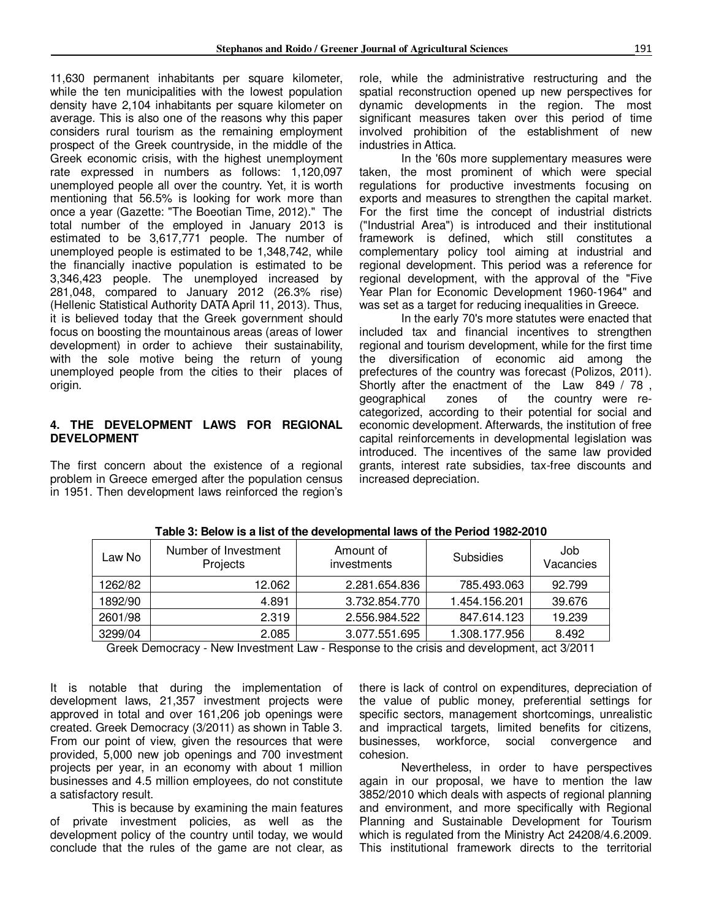11,630 permanent inhabitants per square kilometer, while the ten municipalities with the lowest population density have 2,104 inhabitants per square kilometer on average. This is also one of the reasons why this paper considers rural tourism as the remaining employment prospect of the Greek countryside, in the middle of the Greek economic crisis, with the highest unemployment rate expressed in numbers as follows: 1,120,097 unemployed people all over the country. Yet, it is worth mentioning that 56.5% is looking for work more than once a year (Gazette: "The Boeotian Time, 2012)." The total number of the employed in January 2013 is estimated to be 3,617,771 people. The number of unemployed people is estimated to be 1,348,742, while the financially inactive population is estimated to be 3,346,423 people. The unemployed increased by 281,048, compared to January 2012 (26.3% rise) (Hellenic Statistical Authority DATA April 11, 2013). Thus, it is believed today that the Greek government should focus on boosting the mountainous areas (areas of lower development) in order to achieve their sustainability, with the sole motive being the return of young unemployed people from the cities to their places of origin.

#### **4. THE DEVELOPMENT LAWS FOR REGIONAL DEVELOPMENT**

The first concern about the existence of a regional problem in Greece emerged after the population census in 1951. Then development laws reinforced the region's role, while the administrative restructuring and the spatial reconstruction opened up new perspectives for dynamic developments in the region. The most significant measures taken over this period of time involved prohibition of the establishment of new industries in Attica.

In the '60s more supplementary measures were taken, the most prominent of which were special regulations for productive investments focusing on exports and measures to strengthen the capital market. For the first time the concept of industrial districts ("Industrial Area") is introduced and their institutional framework is defined, which still constitutes a complementary policy tool aiming at industrial and regional development. This period was a reference for regional development, with the approval of the "Five Year Plan for Economic Development 1960-1964" and was set as a target for reducing inequalities in Greece.

In the early 70's more statutes were enacted that included tax and financial incentives to strengthen regional and tourism development, while for the first time the diversification of economic aid among the prefectures of the country was forecast (Polizos, 2011). Shortly after the enactment of the Law 849 / 78,<br>geographical zones of the country were rezones of the country were recategorized, according to their potential for social and economic development. Afterwards, the institution of free capital reinforcements in developmental legislation was introduced. The incentives of the same law provided grants, interest rate subsidies, tax-free discounts and increased depreciation.

| Law No  | Number of Investment<br>Projects | Amount of<br>investments | Subsidies     | Job<br>Vacancies |
|---------|----------------------------------|--------------------------|---------------|------------------|
| 1262/82 | 12.062                           | 2.281.654.836            | 785.493.063   | 92.799           |
| 1892/90 | 4.891                            | 3.732.854.770            | 1.454.156.201 | 39.676           |
| 2601/98 | 2.319                            | 2.556.984.522            | 847.614.123   | 19.239           |
| 3299/04 | 2.085                            | 3.077.551.695            | 1.308.177.956 | 8.492            |

**Table 3: Below is a list of the developmental laws of the Period 1982-2010** 

Greek Democracy - New Investment Law - Response to the crisis and development, act 3/2011

It is notable that during the implementation of development laws, 21,357 investment projects were approved in total and over 161,206 job openings were created. Greek Democracy (3/2011) as shown in Table 3. From our point of view, given the resources that were provided, 5,000 new job openings and 700 investment projects per year, in an economy with about 1 million businesses and 4.5 million employees, do not constitute a satisfactory result.

This is because by examining the main features of private investment policies, as well as the development policy of the country until today, we would conclude that the rules of the game are not clear, as

there is lack of control on expenditures, depreciation of the value of public money, preferential settings for specific sectors, management shortcomings, unrealistic and impractical targets, limited benefits for citizens, businesses, workforce, social convergence and cohesion.

Nevertheless, in order to have perspectives again in our proposal, we have to mention the law 3852/2010 which deals with aspects of regional planning and environment, and more specifically with Regional Planning and Sustainable Development for Tourism which is regulated from the Ministry Act 24208/4.6.2009. This institutional framework directs to the territorial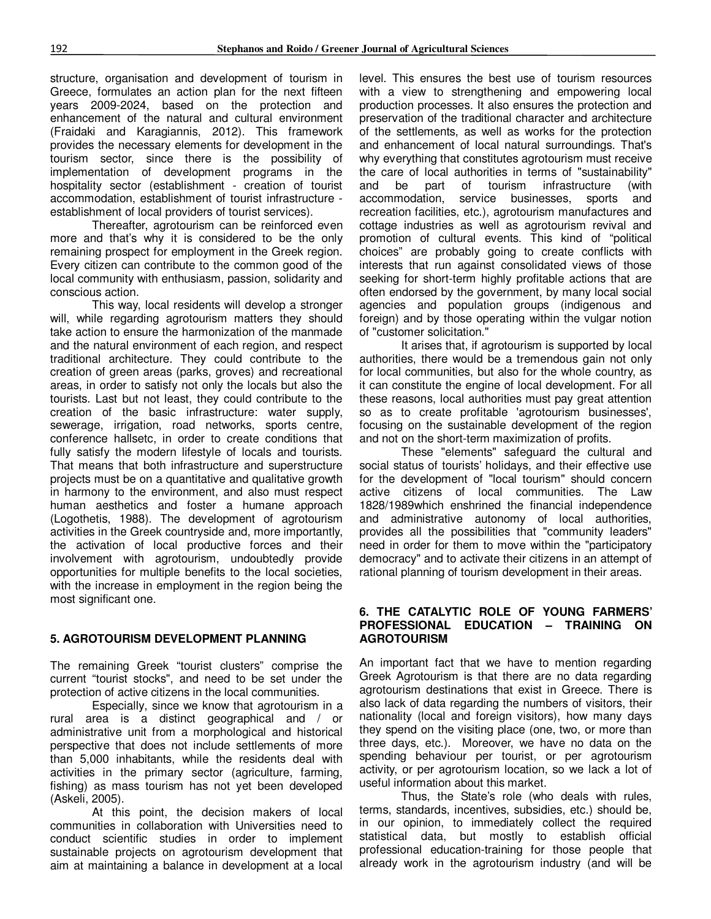structure, organisation and development of tourism in Greece, formulates an action plan for the next fifteen years 2009-2024, based on the protection and enhancement of the natural and cultural environment (Fraidaki and Karagiannis, 2012). This framework provides the necessary elements for development in the tourism sector, since there is the possibility of implementation of development programs in the hospitality sector (establishment - creation of tourist accommodation, establishment of tourist infrastructure establishment of local providers of tourist services).

Thereafter, agrotourism can be reinforced even more and that's why it is considered to be the only remaining prospect for employment in the Greek region. Every citizen can contribute to the common good of the local community with enthusiasm, passion, solidarity and conscious action.

This way, local residents will develop a stronger will, while regarding agrotourism matters they should take action to ensure the harmonization of the manmade and the natural environment of each region, and respect traditional architecture. They could contribute to the creation of green areas (parks, groves) and recreational areas, in order to satisfy not only the locals but also the tourists. Last but not least, they could contribute to the creation of the basic infrastructure: water supply, sewerage, irrigation, road networks, sports centre, conference hallsetc, in order to create conditions that fully satisfy the modern lifestyle of locals and tourists. That means that both infrastructure and superstructure projects must be on a quantitative and qualitative growth in harmony to the environment, and also must respect human aesthetics and foster a humane approach (Logothetis, 1988). The development of agrotourism activities in the Greek countryside and, more importantly, the activation of local productive forces and their involvement with agrotourism, undoubtedly provide opportunities for multiple benefits to the local societies, with the increase in employment in the region being the most significant one.

#### **5. AGROTOURISM DEVELOPMENT PLANNING**

The remaining Greek "tourist clusters" comprise the current "tourist stocks", and need to be set under the protection of active citizens in the local communities.

Especially, since we know that agrotourism in a rural area is a distinct geographical and / or administrative unit from a morphological and historical perspective that does not include settlements of more than 5,000 inhabitants, while the residents deal with activities in the primary sector (agriculture, farming, fishing) as mass tourism has not yet been developed (Askeli, 2005).

At this point, the decision makers of local communities in collaboration with Universities need to conduct scientific studies in order to implement sustainable projects on agrotourism development that aim at maintaining a balance in development at a local level. This ensures the best use of tourism resources with a view to strengthening and empowering local production processes. It also ensures the protection and preservation of the traditional character and architecture of the settlements, as well as works for the protection and enhancement of local natural surroundings. That's why everything that constitutes agrotourism must receive the care of local authorities in terms of "sustainability" and be part of tourism infrastructure (with accommodation, service businesses, sports and recreation facilities, etc.), agrotourism manufactures and cottage industries as well as agrotourism revival and promotion of cultural events. This kind of "political choices" are probably going to create conflicts with interests that run against consolidated views of those seeking for short-term highly profitable actions that are often endorsed by the government, by many local social agencies and population groups (indigenous and foreign) and by those operating within the vulgar notion of "customer solicitation."

It arises that, if agrotourism is supported by local authorities, there would be a tremendous gain not only for local communities, but also for the whole country, as it can constitute the engine of local development. For all these reasons, local authorities must pay great attention so as to create profitable 'agrotourism businesses', focusing on the sustainable development of the region and not on the short-term maximization of profits.

These "elements" safeguard the cultural and social status of tourists' holidays, and their effective use for the development of "local tourism" should concern active citizens of local communities. The Law 1828/1989which enshrined the financial independence and administrative autonomy of local authorities, provides all the possibilities that "community leaders" need in order for them to move within the "participatory democracy" and to activate their citizens in an attempt of rational planning of tourism development in their areas.

#### **6. THE CATALYTIC ROLE OF YOUNG FARMERS' PROFESSIONAL EDUCATION – TRAINING ON AGROTOURISM**

An important fact that we have to mention regarding Greek Agrotourism is that there are no data regarding agrotourism destinations that exist in Greece. There is also lack of data regarding the numbers of visitors, their nationality (local and foreign visitors), how many days they spend on the visiting place (one, two, or more than three days, etc.). Moreover, we have no data on the spending behaviour per tourist, or per agrotourism activity, or per agrotourism location, so we lack a lot of useful information about this market.

Thus, the State's role (who deals with rules, terms, standards, incentives, subsidies, etc.) should be, in our opinion, to immediately collect the required statistical data, but mostly to establish official professional education-training for those people that already work in the agrotourism industry (and will be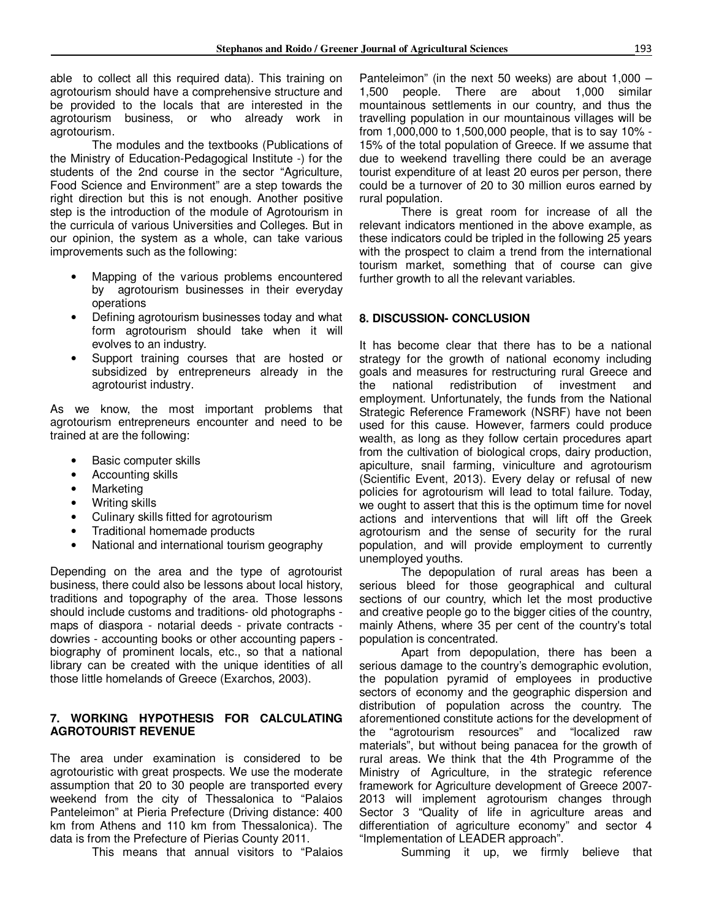able to collect all this required data). This training on agrotourism should have a comprehensive structure and be provided to the locals that are interested in the agrotourism business, or who already work in agrotourism.

The modules and the textbooks (Publications of the Ministry of Education-Pedagogical Institute -) for the students of the 2nd course in the sector "Agriculture, Food Science and Environment" are a step towards the right direction but this is not enough. Another positive step is the introduction of the module of Agrotourism in the curricula of various Universities and Colleges. But in our opinion, the system as a whole, can take various improvements such as the following:

- Mapping of the various problems encountered by agrotourism businesses in their everyday operations
- Defining agrotourism businesses today and what form agrotourism should take when it will evolves to an industry.
- Support training courses that are hosted or subsidized by entrepreneurs already in the agrotourist industry.

As we know, the most important problems that agrotourism entrepreneurs encounter and need to be trained at are the following:

- Basic computer skills
- Accounting skills
- Marketing
- Writing skills
- Culinary skills fitted for agrotourism
- Traditional homemade products
- National and international tourism geography

Depending on the area and the type of agrotourist business, there could also be lessons about local history, traditions and topography of the area. Those lessons should include customs and traditions- old photographs maps of diaspora - notarial deeds - private contracts dowries - accounting books or other accounting papers biography of prominent locals, etc., so that a national library can be created with the unique identities of all those little homelands of Greece (Exarchos, 2003).

#### **7. WORKING HYPOTHESIS FOR CALCULATING AGROTOURIST REVENUE**

The area under examination is considered to be agrotouristic with great prospects. We use the moderate assumption that 20 to 30 people are transported every weekend from the city of Thessalonica to "Palaios Panteleimon" at Pieria Prefecture (Driving distance: 400 km from Athens and 110 km from Thessalonica). The data is from the Prefecture of Pierias County 2011.

This means that annual visitors to "Palaios

Panteleimon" (in the next 50 weeks) are about 1,000 – 1,500 people. There are about 1,000 similar mountainous settlements in our country, and thus the travelling population in our mountainous villages will be from 1,000,000 to 1,500,000 people, that is to say 10% - 15% of the total population of Greece. If we assume that due to weekend travelling there could be an average tourist expenditure of at least 20 euros per person, there could be a turnover of 20 to 30 million euros earned by rural population.

There is great room for increase of all the relevant indicators mentioned in the above example, as these indicators could be tripled in the following 25 years with the prospect to claim a trend from the international tourism market, something that of course can give further growth to all the relevant variables.

#### **8. DISCUSSION- CONCLUSION**

It has become clear that there has to be a national strategy for the growth of national economy including goals and measures for restructuring rural Greece and the national redistribution of investment and employment. Unfortunately, the funds from the National Strategic Reference Framework (NSRF) have not been used for this cause. However, farmers could produce wealth, as long as they follow certain procedures apart from the cultivation of biological crops, dairy production, apiculture, snail farming, viniculture and agrotourism (Scientific Event, 2013). Every delay or refusal of new policies for agrotourism will lead to total failure. Today, we ought to assert that this is the optimum time for novel actions and interventions that will lift off the Greek agrotourism and the sense of security for the rural population, and will provide employment to currently unemployed youths.

The depopulation of rural areas has been a serious bleed for those geographical and cultural sections of our country, which let the most productive and creative people go to the bigger cities of the country, mainly Athens, where 35 per cent of the country's total population is concentrated.

Apart from depopulation, there has been a serious damage to the country's demographic evolution, the population pyramid of employees in productive sectors of economy and the geographic dispersion and distribution of population across the country. The aforementioned constitute actions for the development of the "agrotourism resources" and "localized raw materials", but without being panacea for the growth of rural areas. We think that the 4th Programme of the Ministry of Agriculture, in the strategic reference framework for Agriculture development of Greece 2007- 2013 will implement agrotourism changes through Sector 3 "Quality of life in agriculture areas and differentiation of agriculture economy" and sector 4 "Implementation of LEADER approach".

Summing it up, we firmly believe that